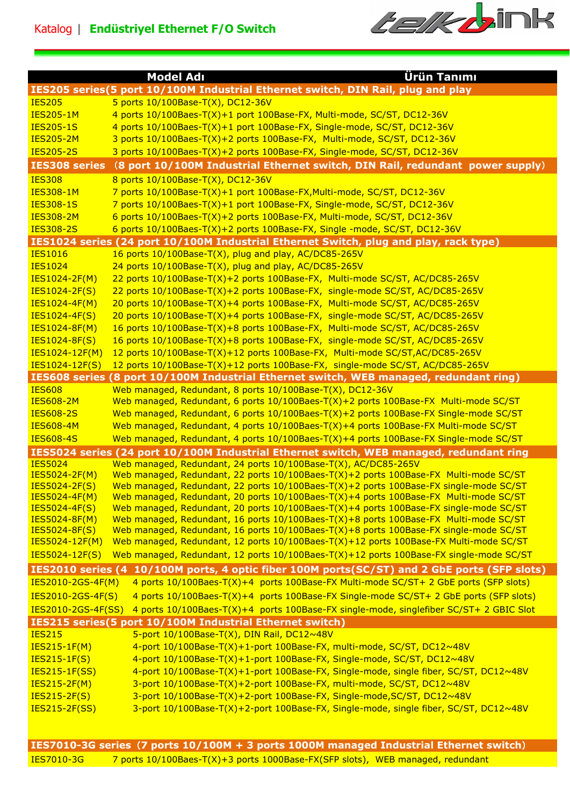

|                                       | <u>Ürün Tanımı</u><br><b>Model Adı</b>                                                                                                                                              |
|---------------------------------------|-------------------------------------------------------------------------------------------------------------------------------------------------------------------------------------|
|                                       | IES205 series(5 port 10/100M Industrial Ethernet switch, DIN Rail, plug and play                                                                                                    |
| <b>IES205</b>                         | 5 ports 10/100Base-T(X), DC12-36V                                                                                                                                                   |
| <b>IES205-1M</b>                      | 4 ports 10/100Baes-T(X)+1 port 100Base-FX, Multi-mode, SC/ST, DC12-36V                                                                                                              |
| <b>IES205-1S</b>                      | 4 ports 10/100Baes-T(X)+1 port 100Base-FX, Single-mode, SC/ST, DC12-36V                                                                                                             |
| <b>IES205-2M</b>                      | 3 ports 10/100Baes-T(X)+2 ports 100Base-FX, Multi-mode, SC/ST, DC12-36V                                                                                                             |
| <b>IES205-2S</b>                      | 3 ports 10/100Baes-T(X)+2 ports 100Base-FX, Single-mode, SC/ST, DC12-36V                                                                                                            |
| <b>IES308 series</b>                  | (8 port 10/100M Industrial Ethernet switch, DIN Rail, redundant power supply)                                                                                                       |
| <b>IES308</b>                         | 8 ports 10/100Base-T(X), DC12-36V                                                                                                                                                   |
| <b>IES308-1M</b>                      | 7 ports 10/100Base-T(X)+1 port 100Base-FX, Multi-mode, SC/ST, DC12-36V                                                                                                              |
| <b>IES308-1S</b>                      | 7 ports 10/100Baes-T(X)+1 port 100Base-FX, Single-mode, SC/ST, DC12-36V                                                                                                             |
| <b>IES308-2M</b>                      | 6 ports 10/100Baes-T(X)+2 ports 100Base-FX, Multi-mode, SC/ST, DC12-36V                                                                                                             |
| <b>IES308-2S</b>                      | 6 ports 10/100Baes-T(X)+2 ports 100Base-FX, Single -mode, SC/ST, DC12-36V                                                                                                           |
|                                       | IES1024 series (24 port 10/100M Industrial Ethernet Switch, plug and play, rack type)                                                                                               |
| <b>IES1016</b>                        | 16 ports 10/100Base-T(X), plug and play, AC/DC85-265V                                                                                                                               |
| <b>IES1024</b>                        | 24 ports 10/100Base-T(X), plug and play, AC/DC85-265V                                                                                                                               |
| <b>IES1024-2F(M)</b>                  | 22 ports 10/100Base-T(X)+2 ports 100Base-FX, Multi-mode SC/ST, AC/DC85-265V                                                                                                         |
| IES1024-2F(S)                         | 22 ports 10/100Base-T(X)+2 ports 100Base-FX, single-mode SC/ST, AC/DC85-265V                                                                                                        |
| <b>IES1024-4F(M)</b>                  | 20 ports 10/100Base-T(X)+4 ports 100Base-FX, Multi-mode SC/ST, AC/DC85-265V                                                                                                         |
| IES1024-4F(S)                         | 20 ports 10/100Base-T(X)+4 ports 100Base-FX, single-mode SC/ST, AC/DC85-265V                                                                                                        |
| <b>IES1024-8F(M)</b>                  | 16 ports 10/100Base-T(X)+8 ports 100Base-FX, Multi-mode SC/ST, AC/DC85-265V                                                                                                         |
| IES1024-8F(S)                         | 16 ports 10/100Base-T(X)+8 ports 100Base-FX, single-mode SC/ST, AC/DC85-265V                                                                                                        |
| IES1024-12F(M)                        | 12 ports 10/100Base-T(X)+12 ports 100Base-FX, Multi-mode SC/ST, AC/DC85-265V                                                                                                        |
| IES1024-12F(S)                        | 12 ports 10/100Base-T(X)+12 ports 100Base-FX, single-mode SC/ST, AC/DC85-265V                                                                                                       |
|                                       | IES608 series (8 port 10/100M Industrial Ethernet switch, WEB managed, redundant ring)                                                                                              |
| <b>IES608</b>                         | Web managed, Redundant, 8 ports 10/100Base-T(X), DC12-36V                                                                                                                           |
| <b>IES608-2M</b>                      | Web managed, Redundant, 6 ports 10/100Baes-T(X)+2 ports 100Base-FX Multi-mode SC/ST                                                                                                 |
| <b>IES608-2S</b>                      | Web managed, Redundant, 6 ports 10/100Baes-T(X)+2 ports 100Base-FX Single-mode SC/ST                                                                                                |
| <b>IES608-4M</b>                      | Web managed, Redundant, 4 ports 10/100Baes-T(X)+4 ports 100Base-FX Multi-mode SC/ST                                                                                                 |
| <b>IES608-4S</b>                      | Web managed, Redundant, 4 ports 10/100Baes-T(X)+4 ports 100Base-FX Single-mode SC/ST                                                                                                |
|                                       | IES5024 series (24 port 10/100M Industrial Ethernet switch, WEB managed, redundant ring                                                                                             |
| <b>IES5024</b>                        | Web managed, Redundant, 24 ports 10/100Base-T(X), AC/DC85-265V                                                                                                                      |
| IES5024-2F(M)                         | Web managed, Redundant, 22 ports 10/100Baes-T(X)+2 ports 100Base-FX Multi-mode SC/ST                                                                                                |
| IES5024-2F(S)<br><u>IES5024-4F(M)</u> | Web managed, Redundant, 22 ports $10/100$ Baes-T(X)+2 ports $100$ Base-FX single-mode SC/ST<br>Web managed, Redundant, 20 ports 10/100Baes-T(X)+4 ports 100Base-FX Multi-mode SC/ST |
| IES5024-4F(S)                         | Web managed, Redundant, 20 ports 10/100Baes-T(X)+4 ports 100Base-FX single-mode SC/ST                                                                                               |
| <b>IES5024-8F(M)</b>                  | Web managed, Redundant, 16 ports 10/100Baes-T(X)+8 ports 100Base-FX Multi-mode SC/ST                                                                                                |
| <b>IES5024-8F(S)</b>                  | Web managed, Redundant, 16 ports $10/100$ Baes-T(X)+8 ports $100$ Base-FX single-mode SC/ST                                                                                         |
| <b>IES5024-12F(M)</b>                 | Web managed, Redundant, 12 ports 10/100Baes-T(X)+12 ports 100Base-FX Multi-mode SC/ST                                                                                               |
| IES5024-12F(S)                        | Web managed, Redundant, 12 ports 10/100Baes-T(X)+12 ports 100Base-FX single-mode SC/ST                                                                                              |
|                                       | IES2010 series (4 10/100M ports, 4 optic fiber 100M ports(SC/ST) and 2 GbE ports (SFP slots)                                                                                        |
| IES2010-2GS-4F(M)                     | 4 ports 10/100Baes-T(X)+4 ports 100Base-FX Multi-mode SC/ST+ 2 GbE ports (SFP slots)                                                                                                |
| IES2010-2GS-4F(S)                     | 4 ports 10/100Baes-T(X)+4 ports 100Base-FX Single-mode SC/ST+ 2 GbE ports (SFP slots)                                                                                               |
| IES2010-2GS-4F(SS)                    | 4 ports 10/100Baes-T(X)+4 ports 100Base-FX single-mode, singlefiber SC/ST+ 2 GBIC Slot                                                                                              |
|                                       | IES215 series(5 port 10/100M Industrial Ethernet switch)                                                                                                                            |
| <b>IES215</b>                         | 5-port 10/100Base-T(X), DIN Rail, DC12~48V                                                                                                                                          |
| <b>IES215-1F(M)</b>                   | 4-port 10/100Base-T(X)+1-port 100Base-FX, multi-mode, SC/ST, DC12~48V                                                                                                               |
| <b>IES215-1F(S)</b>                   | 4-port 10/100Base-T(X)+1-port 100Base-FX, Single-mode, SC/ST, DC12~48V                                                                                                              |
| <b>IES215-1F(SS)</b>                  | 4-port 10/100Base-T(X)+1-port 100Base-FX, Single-mode, single fiber, SC/ST, DC12~48V                                                                                                |
| <b>IES215-2F(M)</b>                   | 3-port 10/100Base-T(X)+2-port 100Base-FX, multi-mode, SC/ST, DC12~48V                                                                                                               |
| <b>IES215-2F(S)</b>                   | 3-port 10/100Base-T(X)+2-port 100Base-FX, Single-mode, SC/ST, DC12~48V                                                                                                              |
| <b>IES215-2F(SS)</b>                  | 3-port 10/100Base-T(X)+2-port 100Base-FX, Single-mode, single fiber, SC/ST, DC12~48V                                                                                                |
|                                       |                                                                                                                                                                                     |
|                                       |                                                                                                                                                                                     |
|                                       | IES7010-3G series (7 ports 10/100M + 3 ports 1000M managed Industrial Ethernet switch)                                                                                              |
| IES7010-3G                            | 7 ports 10/100Baes-T(X)+3 ports 1000Base-FX(SFP slots), WEB managed, redundant                                                                                                      |
|                                       |                                                                                                                                                                                     |